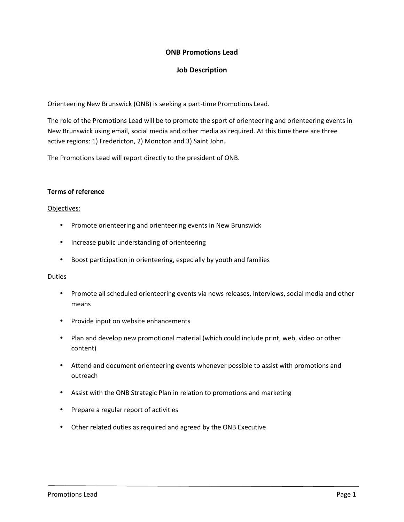# **ONB Promotions Lead**

# **Job Description**

Orienteering New Brunswick (ONB) is seeking a part-time Promotions Lead.

The role of the Promotions Lead will be to promote the sport of orienteering and orienteering events in New Brunswick using email, social media and other media as required. At this time there are three active regions: 1) Fredericton, 2) Moncton and 3) Saint John.

The Promotions Lead will report directly to the president of ONB.

## **Terms of reference**

## Objectives:

- Promote orienteering and orienteering events in New Brunswick
- Increase public understanding of orienteering
- Boost participation in orienteering, especially by youth and families

### Duties

- Promote all scheduled orienteering events via news releases, interviews, social media and other means
- Provide input on website enhancements
- Plan and develop new promotional material (which could include print, web, video or other content)
- Attend and document orienteering events whenever possible to assist with promotions and outreach
- Assist with the ONB Strategic Plan in relation to promotions and marketing
- Prepare a regular report of activities
- Other related duties as required and agreed by the ONB Executive